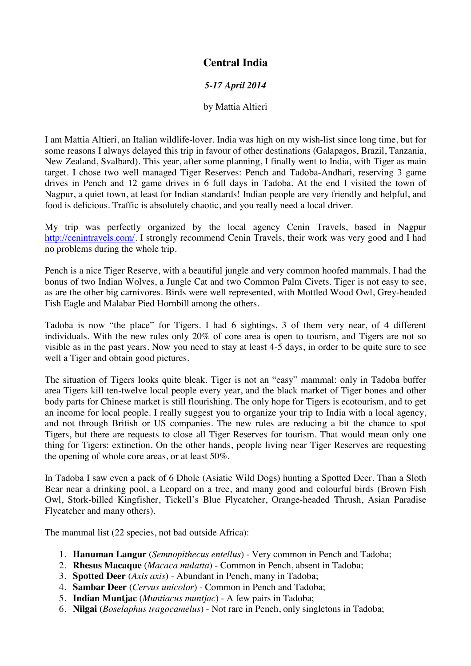## **Central India**

## *5-17 April 2014*

## by Mattia Altieri

I am Mattia Altieri, an Italian wildlife-lover. India was high on my wish-list since long time, but for some reasons I always delayed this trip in favour of other destinations (Galapagos, Brazil, Tanzania, New Zealand, Svalbard). This year, after some planning, I finally went to India, with Tiger as main target. I chose two well managed Tiger Reserves: Pench and Tadoba-Andhari, reserving 3 game drives in Pench and 12 game drives in 6 full days in Tadoba. At the end I visited the town of Nagpur, a quiet town, at least for Indian standards! Indian people are very friendly and helpful, and food is delicious. Traffic is absolutely chaotic, and you really need a local driver.

My trip was perfectly organized by the local agency Cenin Travels, based in Nagpur http://cenintravels.com/. I strongly recommend Cenin Travels, their work was very good and I had no problems during the whole trip.

Pench is a nice Tiger Reserve, with a beautiful jungle and very common hoofed mammals. I had the bonus of two Indian Wolves, a Jungle Cat and two Common Palm Civets. Tiger is not easy to see, as are the other big carnivores. Birds were well represented, with Mottled Wood Owl, Grey-headed Fish Eagle and Malabar Pied Hornbill among the others.

Tadoba is now "the place" for Tigers. I had 6 sightings, 3 of them very near, of 4 different individuals. With the new rules only 20% of core area is open to tourism, and Tigers are not so visible as in the past years. Now you need to stay at least 4-5 days, in order to be quite sure to see well a Tiger and obtain good pictures.

The situation of Tigers looks quite bleak. Tiger is not an "easy" mammal: only in Tadoba buffer area Tigers kill ten-twelve local people every year, and the black market of Tiger bones and other body parts for Chinese market is still flourishing. The only hope for Tigers is ecotourism, and to get an income for local people. I really suggest you to organize your trip to India with a local agency, and not through British or US companies. The new rules are reducing a bit the chance to spot Tigers, but there are requests to close all Tiger Reserves for tourism. That would mean only one thing for Tigers: extinction. On the other hands, people living near Tiger Reserves are requesting the opening of whole core areas, or at least 50%.

In Tadoba I saw even a pack of 6 Dhole (Asiatic Wild Dogs) hunting a Spotted Deer. Than a Sloth Bear near a drinking pool, a Leopard on a tree, and many good and colourful birds (Brown Fish Owl, Stork-billed Kingfisher, Tickell's Blue Flycatcher, Orange-headed Thrush, Asian Paradise Flycatcher and many others).

The mammal list (22 species, not bad outside Africa):

- 1. **Hanuman Langur** (*Semnopithecus entellus*) Very common in Pench and Tadoba;
- 2. **Rhesus Macaque** (*Macaca mulatta*) Common in Pench, absent in Tadoba;
- 3. **Spotted Deer** (*Axis axis*) Abundant in Pench, many in Tadoba;
- 4. **Sambar Deer** (*Cervus unicolor*) Common in Pench and Tadoba;
- 5. **Indian Muntjac** (*Muntiacus muntjac*) A few pairs in Tadoba;
- 6. **Nilgai** (*Boselaphus tragocamelus*) Not rare in Pench, only singletons in Tadoba;